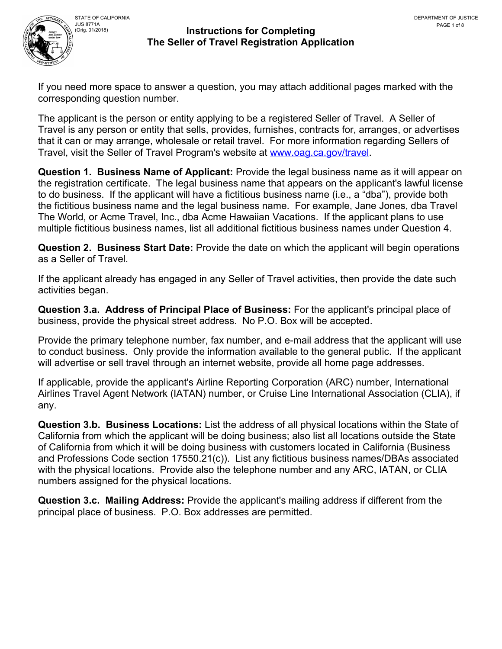

# JUS 8771A<br>(Orig. 01/2018)

## **Instructions for Completing The Seller of Travel Registration Application**

If you need more space to answer a question, you may attach additional pages marked with the corresponding question number.

The applicant is the person or entity applying to be a registered Seller of Travel. A Seller of Travel is any person or entity that sells, provides, furnishes, contracts for, arranges, or advertises that it can or may arrange, wholesale or retail travel. For more information regarding Sellers of Travel, visit the Seller of Travel Program's website at [www.oag.ca.gov/travel](http://www.oag.ca.gov/travel).

**Question 1. Business Name of Applicant:** Provide the legal business name as it will appear on the registration certificate. The legal business name that appears on the applicant's lawful license to do business. If the applicant will have a fictitious business name (i.e., a "dba"), provide both the fictitious business name and the legal business name. For example, Jane Jones, dba Travel The World, or Acme Travel, Inc., dba Acme Hawaiian Vacations. If the applicant plans to use multiple fictitious business names, list all additional fictitious business names under Question 4.

**Question 2. Business Start Date:** Provide the date on which the applicant will begin operations as a Seller of Travel.

If the applicant already has engaged in any Seller of Travel activities, then provide the date such activities began.

**Question 3.a. Address of Principal Place of Business:** For the applicant's principal place of business, provide the physical street address. No P.O. Box will be accepted.

Provide the primary telephone number, fax number, and e-mail address that the applicant will use to conduct business. Only provide the information available to the general public. If the applicant will advertise or sell travel through an internet website, provide all home page addresses.

If applicable, provide the applicant's Airline Reporting Corporation (ARC) number, International Airlines Travel Agent Network (IATAN) number, or Cruise Line International Association (CLIA), if any.

**Question 3.b. Business Locations:** List the address of all physical locations within the State of California from which the applicant will be doing business; also list all locations outside the State of California from which it will be doing business with customers located in California (Business and Professions Code section 17550.21(c)). List any fictitious business names/DBAs associated with the physical locations. Provide also the telephone number and any ARC, IATAN, or CLIA numbers assigned for the physical locations.

**Question 3.c. Mailing Address:** Provide the applicant's mailing address if different from the principal place of business. P.O. Box addresses are permitted.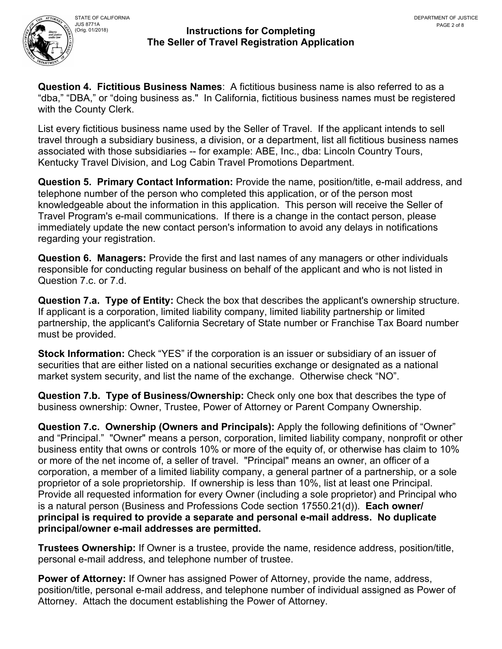

**Question 4. Fictitious Business Names**: A fictitious business name is also referred to as a "dba," "DBA," or "doing business as." In California, fictitious business names must be registered with the County Clerk.

List every fictitious business name used by the Seller of Travel. If the applicant intends to sell travel through a subsidiary business, a division, or a department, list all fictitious business names associated with those subsidiaries -- for example: ABE, Inc., dba: Lincoln Country Tours, Kentucky Travel Division, and Log Cabin Travel Promotions Department.

**Question 5. Primary Contact Information:** Provide the name, position/title, e-mail address, and telephone number of the person who completed this application, or of the person most knowledgeable about the information in this application. This person will receive the Seller of Travel Program's e-mail communications. If there is a change in the contact person, please immediately update the new contact person's information to avoid any delays in notifications regarding your registration.

**Question 6. Managers:** Provide the first and last names of any managers or other individuals responsible for conducting regular business on behalf of the applicant and who is not listed in Question 7.c. or 7.d.

**Question 7.a. Type of Entity:** Check the box that describes the applicant's ownership structure. If applicant is a corporation, limited liability company, limited liability partnership or limited partnership, the applicant's California Secretary of State number or Franchise Tax Board number must be provided.

**Stock Information:** Check "YES" if the corporation is an issuer or subsidiary of an issuer of securities that are either listed on a national securities exchange or designated as a national market system security, and list the name of the exchange. Otherwise check "NO".

**Question 7.b. Type of Business/Ownership:** Check only one box that describes the type of business ownership: Owner, Trustee, Power of Attorney or Parent Company Ownership.

**Question 7.c. Ownership (Owners and Principals):** Apply the following definitions of "Owner" and "Principal." "Owner" means a person, corporation, limited liability company, nonprofit or other business entity that owns or controls 10% or more of the equity of, or otherwise has claim to 10% or more of the net income of, a seller of travel. "Principal" means an owner, an officer of a corporation, a member of a limited liability company, a general partner of a partnership, or a sole proprietor of a sole proprietorship. If ownership is less than 10%, list at least one Principal. Provide all requested information for every Owner (including a sole proprietor) and Principal who is a natural person (Business and Professions Code section 17550.21(d)). **Each owner/ principal is required to provide a separate and personal e-mail address. No duplicate principal/owner e-mail addresses are permitted.** 

**Trustees Ownership:** If Owner is a trustee, provide the name, residence address, position/title, personal e-mail address, and telephone number of trustee.

**Power of Attorney:** If Owner has assigned Power of Attorney, provide the name, address, position/title, personal e-mail address, and telephone number of individual assigned as Power of Attorney. Attach the document establishing the Power of Attorney.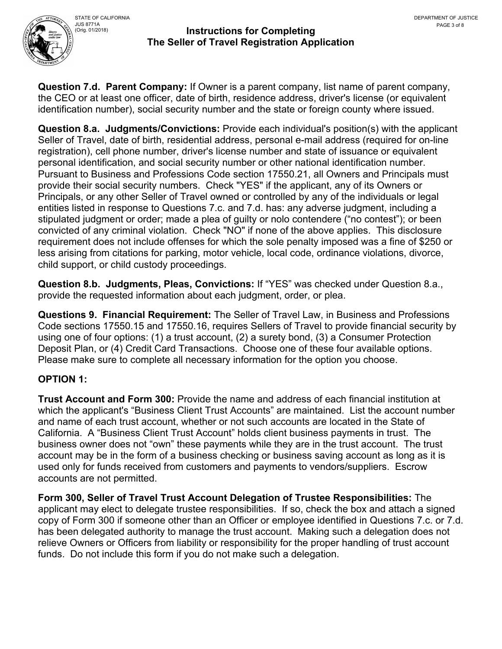

**Question 7.d. Parent Company:** If Owner is a parent company, list name of parent company, the CEO or at least one officer, date of birth, residence address, driver's license (or equivalent identification number), social security number and the state or foreign county where issued.

**Question 8.a. Judgments/Convictions:** Provide each individual's position(s) with the applicant Seller of Travel, date of birth, residential address, personal e-mail address (required for on-line registration), cell phone number, driver's license number and state of issuance or equivalent personal identification, and social security number or other national identification number. Pursuant to Business and Professions Code section 17550.21, all Owners and Principals must provide their social security numbers. Check "YES" if the applicant, any of its Owners or Principals, or any other Seller of Travel owned or controlled by any of the individuals or legal entities listed in response to Questions 7.c. and 7.d. has: any adverse judgment, including a stipulated judgment or order; made a plea of guilty or nolo contendere ("no contest"); or been convicted of any criminal violation. Check "NO" if none of the above applies. This disclosure requirement does not include offenses for which the sole penalty imposed was a fine of \$250 or less arising from citations for parking, motor vehicle, local code, ordinance violations, divorce, child support, or child custody proceedings.

**Question 8.b. Judgments, Pleas, Convictions:** If "YES" was checked under Question 8.a., provide the requested information about each judgment, order, or plea.

**Questions 9. Financial Requirement:** The Seller of Travel Law, in Business and Professions Code sections 17550.15 and 17550.16, requires Sellers of Travel to provide financial security by using one of four options: (1) a trust account, (2) a surety bond, (3) a Consumer Protection Deposit Plan, or (4) Credit Card Transactions. Choose one of these four available options. Please make sure to complete all necessary information for the option you choose.

# **OPTION 1:**

**Trust Account and Form 300:** Provide the name and address of each financial institution at which the applicant's "Business Client Trust Accounts" are maintained. List the account number and name of each trust account, whether or not such accounts are located in the State of California. A "Business Client Trust Account" holds client business payments in trust. The business owner does not "own" these payments while they are in the trust account. The trust account may be in the form of a business checking or business saving account as long as it is used only for funds received from customers and payments to vendors/suppliers. Escrow accounts are not permitted.

**Form 300, Seller of Travel Trust Account Delegation of Trustee Responsibilities:** The applicant may elect to delegate trustee responsibilities. If so, check the box and attach a signed copy of Form 300 if someone other than an Officer or employee identified in Questions 7.c. or 7.d. has been delegated authority to manage the trust account. Making such a delegation does not relieve Owners or Officers from liability or responsibility for the proper handling of trust account funds. Do not include this form if you do not make such a delegation.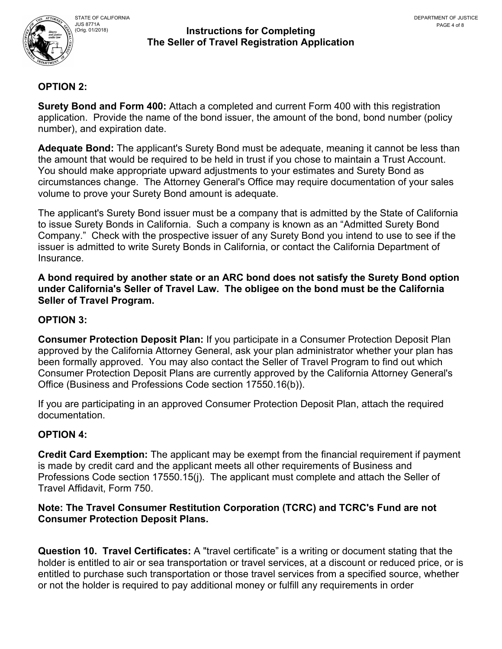

# **OPTION 2:**

**Surety Bond and Form 400:** Attach a completed and current Form 400 with this registration application. Provide the name of the bond issuer, the amount of the bond, bond number (policy number), and expiration date.

**Adequate Bond:** The applicant's Surety Bond must be adequate, meaning it cannot be less than the amount that would be required to be held in trust if you chose to maintain a Trust Account. You should make appropriate upward adjustments to your estimates and Surety Bond as circumstances change. The Attorney General's Office may require documentation of your sales volume to prove your Surety Bond amount is adequate.

The applicant's Surety Bond issuer must be a company that is admitted by the State of California to issue Surety Bonds in California. Such a company is known as an "Admitted Surety Bond Company." Check with the prospective issuer of any Surety Bond you intend to use to see if the issuer is admitted to write Surety Bonds in California, or contact the California Department of Insurance.

**A bond required by another state or an ARC bond does not satisfy the Surety Bond option under California's Seller of Travel Law. The obligee on the bond must be the California Seller of Travel Program.** 

# **OPTION 3:**

**Consumer Protection Deposit Plan:** If you participate in a Consumer Protection Deposit Plan approved by the California Attorney General, ask your plan administrator whether your plan has been formally approved. You may also contact the Seller of Travel Program to find out which Consumer Protection Deposit Plans are currently approved by the California Attorney General's Office (Business and Professions Code section 17550.16(b)).

If you are participating in an approved Consumer Protection Deposit Plan, attach the required documentation.

# **OPTION 4:**

**Credit Card Exemption:** The applicant may be exempt from the financial requirement if payment is made by credit card and the applicant meets all other requirements of Business and Professions Code section 17550.15(j). The applicant must complete and attach the Seller of Travel Affidavit, Form 750.

#### **Note: The Travel Consumer Restitution Corporation (TCRC) and TCRC's Fund are not Consumer Protection Deposit Plans.**

**Question 10. Travel Certificates:** A "travel certificate" is a writing or document stating that the holder is entitled to air or sea transportation or travel services, at a discount or reduced price, or is entitled to purchase such transportation or those travel services from a specified source, whether or not the holder is required to pay additional money or fulfill any requirements in order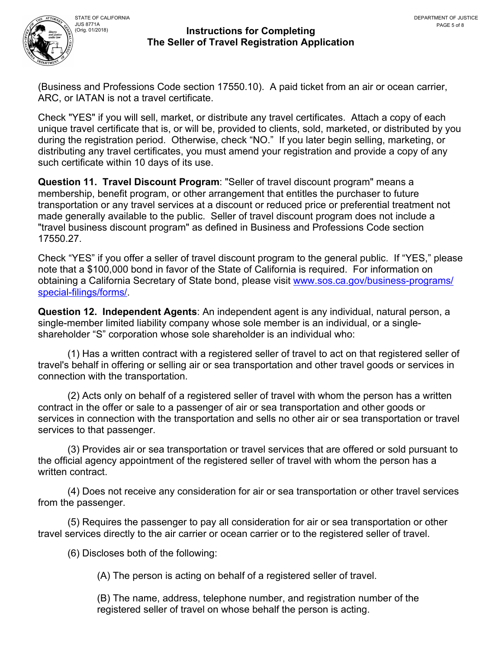

# JUS 8771A<br>(Orig. 01/2018)

#### **Instructions for Completing The Seller of Travel Registration Application**

(Business and Professions Code section 17550.10). A paid ticket from an air or ocean carrier, ARC, or IATAN is not a travel certificate.

Check "YES" if you will sell, market, or distribute any travel certificates. Attach a copy of each unique travel certificate that is, or will be, provided to clients, sold, marketed, or distributed by you during the registration period. Otherwise, check "NO." If you later begin selling, marketing, or distributing any travel certificates, you must amend your registration and provide a copy of any such certificate within 10 days of its use.

**Question 11. Travel Discount Program**: "Seller of travel discount program" means a membership, benefit program, or other arrangement that entitles the purchaser to future transportation or any travel services at a discount or reduced price or preferential treatment not made generally available to the public. Seller of travel discount program does not include a "travel business discount program" as defined in Business and Professions Code section 17550.27.

Check "YES" if you offer a seller of travel discount program to the general public. If "YES," please note that a \$100,000 bond in favor of the State of California is required. For information on obtaining a California Secretary of State bond, please visit [www.sos.ca.gov/business-programs/](http://www.sos.ca.gov/business-programs/special-filings/forms/) [special-filings/forms/](http://www.sos.ca.gov/business-programs/special-filings/forms/).

**Question 12. Independent Agents**: An independent agent is any individual, natural person, a single-member limited liability company whose sole member is an individual, or a singleshareholder "S" corporation whose sole shareholder is an individual who:

(1) Has a written contract with a registered seller of travel to act on that registered seller of travel's behalf in offering or selling air or sea transportation and other travel goods or services in connection with the transportation.

(2) Acts only on behalf of a registered seller of travel with whom the person has a written contract in the offer or sale to a passenger of air or sea transportation and other goods or services in connection with the transportation and sells no other air or sea transportation or travel services to that passenger.

(3) Provides air or sea transportation or travel services that are offered or sold pursuant to the official agency appointment of the registered seller of travel with whom the person has a written contract.

(4) Does not receive any consideration for air or sea transportation or other travel services from the passenger.

(5) Requires the passenger to pay all consideration for air or sea transportation or other travel services directly to the air carrier or ocean carrier or to the registered seller of travel.

(6) Discloses both of the following:

(A) The person is acting on behalf of a registered seller of travel.

(B) The name, address, telephone number, and registration number of the registered seller of travel on whose behalf the person is acting.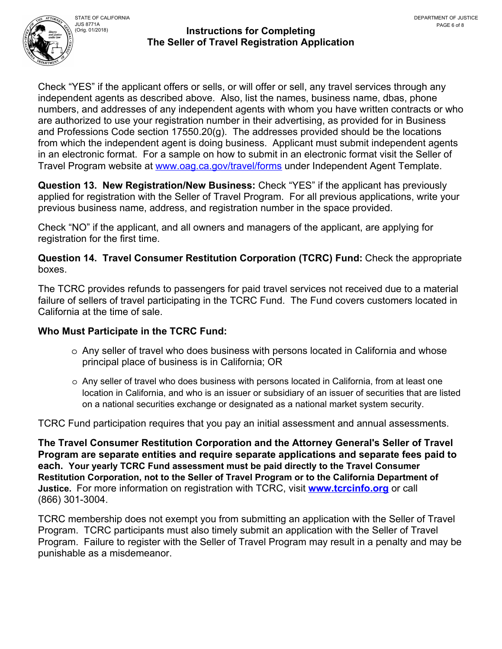

Check "YES" if the applicant offers or sells, or will offer or sell, any travel services through any independent agents as described above. Also, list the names, business name, dbas, phone numbers, and addresses of any independent agents with whom you have written contracts or who are authorized to use your registration number in their advertising, as provided for in Business and Professions Code section 17550.20(g). The addresses provided should be the locations from which the independent agent is doing business. Applicant must submit independent agents in an electronic format. For a sample on how to submit in an electronic format visit the Seller of Travel Program website at [www.oag.ca.gov/travel/forms](http://www.oag.ca.gov/travel/forms) under Independent Agent Template.

**Question 13. New Registration/New Business:** Check "YES" if the applicant has previously applied for registration with the Seller of Travel Program. For all previous applications, write your previous business name, address, and registration number in the space provided.

Check "NO" if the applicant, and all owners and managers of the applicant, are applying for registration for the first time.

**Question 14. Travel Consumer Restitution Corporation (TCRC) Fund:** Check the appropriate boxes.

The TCRC provides refunds to passengers for paid travel services not received due to a material failure of sellers of travel participating in the TCRC Fund. The Fund covers customers located in California at the time of sale.

## **Who Must Participate in the TCRC Fund:**

- o Any seller of travel who does business with persons located in California and whose principal place of business is in California; OR
- o Any seller of travel who does business with persons located in California, from at least one location in California, and who is an issuer or subsidiary of an issuer of securities that are listed on a national securities exchange or designated as a national market system security.

TCRC Fund participation requires that you pay an initial assessment and annual assessments.

**The Travel Consumer Restitution Corporation and the Attorney General's Seller of Travel Program are separate entities and require separate applications and separate fees paid to each. Your yearly TCRC Fund assessment must be paid directly to the Travel Consumer Restitution Corporation, not to the Seller of Travel Program or to the California Department of Justice.** For more information on registration with TCRC, visit **[www.tcrcinfo.org](http://www.tcrcinfo.org)** or call (866) 301-3004.

TCRC membership does not exempt you from submitting an application with the Seller of Travel Program. TCRC participants must also timely submit an application with the Seller of Travel Program. Failure to register with the Seller of Travel Program may result in a penalty and may be punishable as a misdemeanor.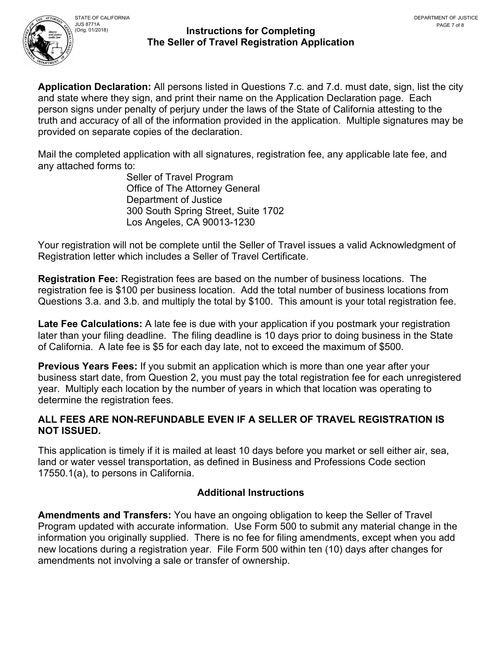

**Application Declaration:** All persons listed in Questions 7.c. and 7.d. must date, sign, list the city and state where they sign, and print their name on the Application Declaration page. Each person signs under penalty of perjury under the laws of the State of California attesting to the truth and accuracy of all of the information provided in the application. Multiple signatures may be provided on separate copies of the declaration.

Mail the completed application with all signatures, registration fee, any applicable late fee, and any attached forms to:

> Seller of Travel Program Office of The Attorney General Department of Justice 300 South Spring Street, Suite 1702 Los Angeles, CA 90013-1230

Your registration will not be complete until the Seller of Travel issues a valid Acknowledgment of Registration letter which includes a Seller of Travel Certificate.

**Registration Fee:** Registration fees are based on the number of business locations. The registration fee is \$100 per business location. Add the total number of business locations from Questions 3.a. and 3.b. and multiply the total by \$100. This amount is your total registration fee.

**Late Fee Calculations:** A late fee is due with your application if you postmark your registration later than your filing deadline. The filing deadline is 10 days prior to doing business in the State of California. A late fee is \$5 for each day late, not to exceed the maximum of \$500.

**Previous Years Fees:** If you submit an application which is more than one year after your business start date, from Question 2, you must pay the total registration fee for each unregistered year. Multiply each location by the number of years in which that location was operating to determine the registration fees.

# **ALL FEES ARE NON-REFUNDABLE EVEN IF A SELLER OF TRAVEL REGISTRATION IS NOT ISSUED.**

This application is timely if it is mailed at least 10 days before you market or sell either air, sea, land or water vessel transportation, as defined in Business and Professions Code section 17550.1(a), to persons in California.

# **Additional Instructions**

**Amendments and Transfers:** You have an ongoing obligation to keep the Seller of Travel Program updated with accurate information. Use Form 500 to submit any material change in the information you originally supplied. There is no fee for filing amendments, except when you add new locations during a registration year. File Form 500 within ten (10) days after changes for amendments not involving a sale or transfer of ownership.